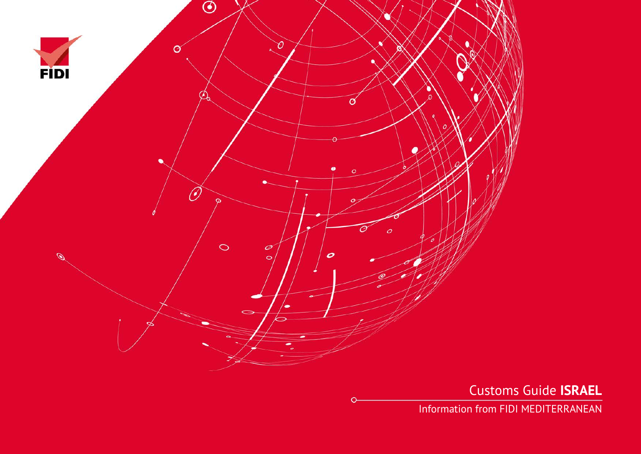

Customs Guide **ISRAEL**

Information from FIDI MEDITERRANEAN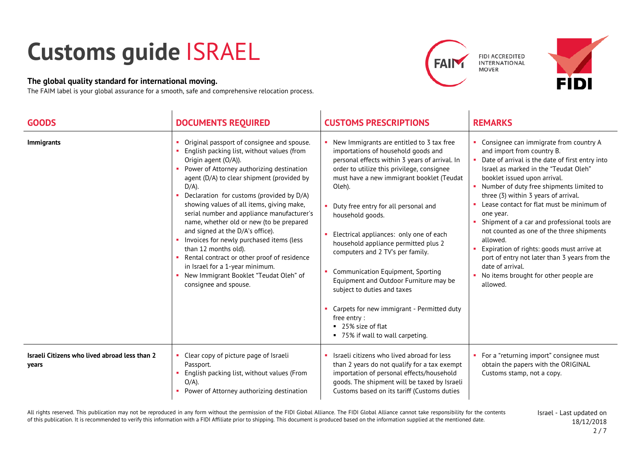## **Customs guide** ISRAEL

## **The global quality standard for international moving.**

The FAIM label is your global assurance for a smooth, safe and comprehensive relocation process.





| <b>GOODS</b>                                           | <b>DOCUMENTS REQUIRED</b>                                                                                                                                                                                                                                                                                                                                                                                                                                                                                                                                                                                                                                                | <b>CUSTOMS PRESCRIPTIONS</b>                                                                                                                                                                                                                                                                                                                                                                                                                                                                                                                                                                                                                                      | <b>REMARKS</b>                                                                                                                                                                                                                                                                                                                                                                                                                                                                                                                                                                                                                  |
|--------------------------------------------------------|--------------------------------------------------------------------------------------------------------------------------------------------------------------------------------------------------------------------------------------------------------------------------------------------------------------------------------------------------------------------------------------------------------------------------------------------------------------------------------------------------------------------------------------------------------------------------------------------------------------------------------------------------------------------------|-------------------------------------------------------------------------------------------------------------------------------------------------------------------------------------------------------------------------------------------------------------------------------------------------------------------------------------------------------------------------------------------------------------------------------------------------------------------------------------------------------------------------------------------------------------------------------------------------------------------------------------------------------------------|---------------------------------------------------------------------------------------------------------------------------------------------------------------------------------------------------------------------------------------------------------------------------------------------------------------------------------------------------------------------------------------------------------------------------------------------------------------------------------------------------------------------------------------------------------------------------------------------------------------------------------|
| <b>Immigrants</b>                                      | Original passport of consignee and spouse.<br>English packing list, without values (from<br>Origin agent (O/A)).<br>Power of Attorney authorizing destination<br>agent (D/A) to clear shipment (provided by<br>$D/A$ ).<br>Declaration for customs (provided by D/A)<br>showing values of all items, giving make,<br>serial number and appliance manufacturer's<br>name, whether old or new (to be prepared<br>and signed at the D/A's office).<br>Invoices for newly purchased items (less<br>than 12 months old).<br>Rental contract or other proof of residence<br>in Israel for a 1-year minimum.<br>New Immigrant Booklet "Teudat Oleh" of<br>consignee and spouse. | New Immigrants are entitled to 3 tax free<br>importations of household goods and<br>personal effects within 3 years of arrival. In<br>order to utilize this privilege, consignee<br>must have a new immigrant booklet (Teudat<br>Oleh).<br>• Duty free entry for all personal and<br>household goods.<br>Electrical appliances: only one of each<br>household appliance permitted plus 2<br>computers and 2 TV's per family.<br>• Communication Equipment, Sporting<br>Equipment and Outdoor Furniture may be<br>subject to duties and taxes<br>Carpets for new immigrant - Permitted duty<br>free entry:<br>25% size of flat<br>■ 75% if wall to wall carpeting. | Consignee can immigrate from country A<br>and import from country B.<br>Date of arrival is the date of first entry into<br>Israel as marked in the "Teudat Oleh"<br>booklet issued upon arrival.<br>Number of duty free shipments limited to<br>three (3) within 3 years of arrival.<br>Lease contact for flat must be minimum of<br>one year.<br>Shipment of a car and professional tools are<br>not counted as one of the three shipments<br>allowed.<br>Expiration of rights: goods must arrive at<br>port of entry not later than 3 years from the<br>date of arrival.<br>No items brought for other people are<br>allowed. |
| Israeli Citizens who lived abroad less than 2<br>years | Clear copy of picture page of Israeli<br>Passport.<br>English packing list, without values (From<br>$O/A$ ).<br>Power of Attorney authorizing destination                                                                                                                                                                                                                                                                                                                                                                                                                                                                                                                | Israeli citizens who lived abroad for less<br>than 2 years do not qualify for a tax exempt<br>importation of personal effects/household<br>goods. The shipment will be taxed by Israeli<br>Customs based on its tariff (Customs duties                                                                                                                                                                                                                                                                                                                                                                                                                            | • For a "returning import" consignee must<br>obtain the papers with the ORIGINAL<br>Customs stamp, not a copy.                                                                                                                                                                                                                                                                                                                                                                                                                                                                                                                  |

All rights reserved. This publication may not be reproduced in any form without the permission of the FIDI Global Alliance. The FIDI Global Alliance cannot take responsibility for the contents of this publication. It is recommended to verify this information with a FIDI Affiliate prior to shipping. This document is produced based on the information supplied at the mentioned date.

Israel - Last updated on 18/12/2018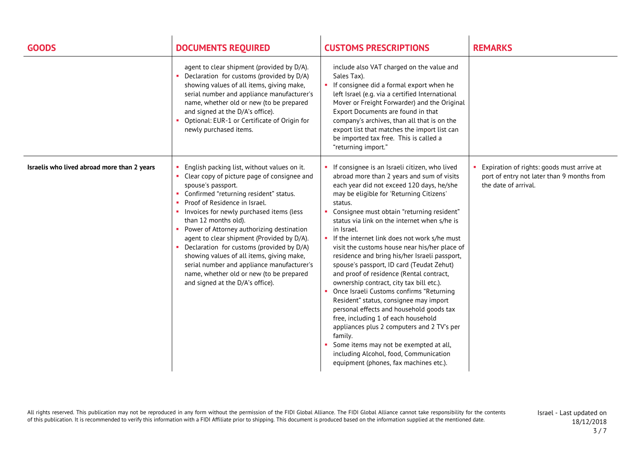| <b>GOODS</b>                                | <b>DOCUMENTS REQUIRED</b>                                                                                                                                                                                                                                                                                                                                                                                                                                                                                                                                                                  | <b>CUSTOMS PRESCRIPTIONS</b>                                                                                                                                                                                                                                                                                                                                                                                                                                                                                                                                                                                                                                                                                                                                                                                                                                                                                                                                       | <b>REMARKS</b>                                                                                                   |
|---------------------------------------------|--------------------------------------------------------------------------------------------------------------------------------------------------------------------------------------------------------------------------------------------------------------------------------------------------------------------------------------------------------------------------------------------------------------------------------------------------------------------------------------------------------------------------------------------------------------------------------------------|--------------------------------------------------------------------------------------------------------------------------------------------------------------------------------------------------------------------------------------------------------------------------------------------------------------------------------------------------------------------------------------------------------------------------------------------------------------------------------------------------------------------------------------------------------------------------------------------------------------------------------------------------------------------------------------------------------------------------------------------------------------------------------------------------------------------------------------------------------------------------------------------------------------------------------------------------------------------|------------------------------------------------------------------------------------------------------------------|
|                                             | agent to clear shipment (provided by D/A).<br>• Declaration for customs (provided by D/A)<br>showing values of all items, giving make,<br>serial number and appliance manufacturer's<br>name, whether old or new (to be prepared<br>and signed at the D/A's office).<br>• Optional: EUR-1 or Certificate of Origin for<br>newly purchased items.                                                                                                                                                                                                                                           | include also VAT charged on the value and<br>Sales Tax).<br>• If consignee did a formal export when he<br>left Israel (e.g. via a certified International<br>Mover or Freight Forwarder) and the Original<br>Export Documents are found in that<br>company's archives, than all that is on the<br>export list that matches the import list can<br>be imported tax free. This is called a<br>"returning import."                                                                                                                                                                                                                                                                                                                                                                                                                                                                                                                                                    |                                                                                                                  |
| Israelis who lived abroad more than 2 years | English packing list, without values on it.<br>• Clear copy of picture page of consignee and<br>spouse's passport.<br>• Confirmed "returning resident" status.<br>Proof of Residence in Israel.<br>Invoices for newly purchased items (less<br>than 12 months old).<br>• Power of Attorney authorizing destination<br>agent to clear shipment (Provided by D/A).<br>• Declaration for customs (provided by D/A)<br>showing values of all items, giving make,<br>serial number and appliance manufacturer's<br>name, whether old or new (to be prepared<br>and signed at the D/A's office). | If consignee is an Israeli citizen, who lived<br>abroad more than 2 years and sum of visits<br>each year did not exceed 120 days, he/she<br>may be eligible for 'Returning Citizens'<br>status.<br>Consignee must obtain "returning resident"<br>status via link on the internet when s/he is<br>in Israel.<br>If the internet link does not work s/he must<br>visit the customs house near his/her place of<br>residence and bring his/her Israeli passport,<br>spouse's passport, ID card (Teudat Zehut)<br>and proof of residence (Rental contract,<br>ownership contract, city tax bill etc.).<br>Once Israeli Customs confirms "Returning<br>Resident" status, consignee may import<br>personal effects and household goods tax<br>free, including 1 of each household<br>appliances plus 2 computers and 2 TV's per<br>family.<br>Some items may not be exempted at all,<br>including Alcohol, food, Communication<br>equipment (phones, fax machines etc.). | Expiration of rights: goods must arrive at<br>port of entry not later than 9 months from<br>the date of arrival. |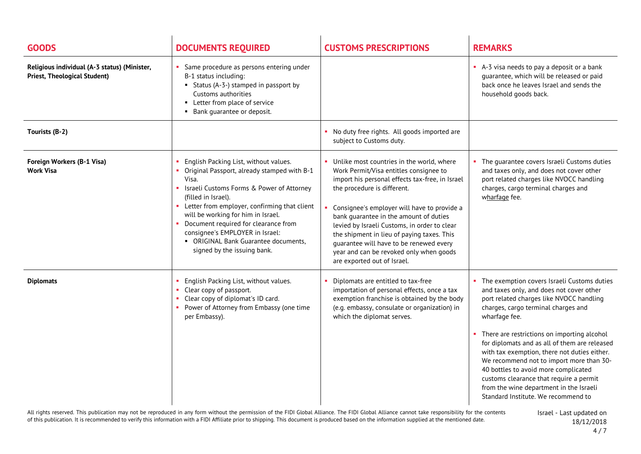| <b>GOODS</b>                                                                        | <b>DOCUMENTS REQUIRED</b>                                                                                                                                                                                                                                                                                                                                                                                     | <b>CUSTOMS PRESCRIPTIONS</b>                                                                                                                                                                                                                                                                                                                                                                                                                                                      | <b>REMARKS</b>                                                                                                                                                                                                                                                                                                                                                                                                                                                                                                                                                   |
|-------------------------------------------------------------------------------------|---------------------------------------------------------------------------------------------------------------------------------------------------------------------------------------------------------------------------------------------------------------------------------------------------------------------------------------------------------------------------------------------------------------|-----------------------------------------------------------------------------------------------------------------------------------------------------------------------------------------------------------------------------------------------------------------------------------------------------------------------------------------------------------------------------------------------------------------------------------------------------------------------------------|------------------------------------------------------------------------------------------------------------------------------------------------------------------------------------------------------------------------------------------------------------------------------------------------------------------------------------------------------------------------------------------------------------------------------------------------------------------------------------------------------------------------------------------------------------------|
| Religious individual (A-3 status) (Minister,<br><b>Priest, Theological Student)</b> | Same procedure as persons entering under<br>B-1 status including:<br>• Status (A-3-) stamped in passport by<br>Customs authorities<br>Letter from place of service<br>Bank guarantee or deposit.<br>٠.                                                                                                                                                                                                        |                                                                                                                                                                                                                                                                                                                                                                                                                                                                                   | A-3 visa needs to pay a deposit or a bank<br>guarantee, which will be released or paid<br>back once he leaves Israel and sends the<br>household goods back.                                                                                                                                                                                                                                                                                                                                                                                                      |
| Tourists (B-2)                                                                      |                                                                                                                                                                                                                                                                                                                                                                                                               | • No duty free rights. All goods imported are<br>subject to Customs duty.                                                                                                                                                                                                                                                                                                                                                                                                         |                                                                                                                                                                                                                                                                                                                                                                                                                                                                                                                                                                  |
| Foreign Workers (B-1 Visa)<br><b>Work Visa</b>                                      | English Packing List, without values.<br>Original Passport, already stamped with B-1<br>Visa.<br>Israeli Customs Forms & Power of Attorney<br>(filled in Israel).<br>• Letter from employer, confirming that client<br>will be working for him in Israel.<br>• Document required for clearance from<br>consignee's EMPLOYER in Israel:<br>• ORIGINAL Bank Guarantee documents,<br>signed by the issuing bank. | Unlike most countries in the world, where<br>Work Permit/Visa entitles consignee to<br>import his personal effects tax-free, in Israel<br>the procedure is different.<br>Consignee's employer will have to provide a<br>bank quarantee in the amount of duties<br>levied by Israeli Customs, in order to clear<br>the shipment in lieu of paying taxes. This<br>quarantee will have to be renewed every<br>year and can be revoked only when goods<br>are exported out of Israel. | • The quarantee covers Israeli Customs duties<br>and taxes only, and does not cover other<br>port related charges like NVOCC handling<br>charges, cargo terminal charges and<br>wharfage fee.                                                                                                                                                                                                                                                                                                                                                                    |
| <b>Diplomats</b>                                                                    | English Packing List, without values.<br>Clear copy of passport.<br>Clear copy of diplomat's ID card.<br>• Power of Attorney from Embassy (one time<br>per Embassy).                                                                                                                                                                                                                                          | Diplomats are entitled to tax-free<br>importation of personal effects, once a tax<br>exemption franchise is obtained by the body<br>(e.g. embassy, consulate or organization) in<br>which the diplomat serves.                                                                                                                                                                                                                                                                    | • The exemption covers Israeli Customs duties<br>and taxes only, and does not cover other<br>port related charges like NVOCC handling<br>charges, cargo terminal charges and<br>wharfage fee.<br>• There are restrictions on importing alcohol<br>for diplomats and as all of them are released<br>with tax exemption, there not duties either.<br>We recommend not to import more than 30-<br>40 bottles to avoid more complicated<br>customs clearance that require a permit<br>from the wine department in the Israeli<br>Standard Institute. We recommend to |

All rights reserved. This publication may not be reproduced in any form without the permission of the FIDI Global Alliance. The FIDI Global Alliance cannot take responsibility for the contents of this publication. It is recommended to verify this information with a FIDI Affiliate prior to shipping. This document is produced based on the information supplied at the mentioned date.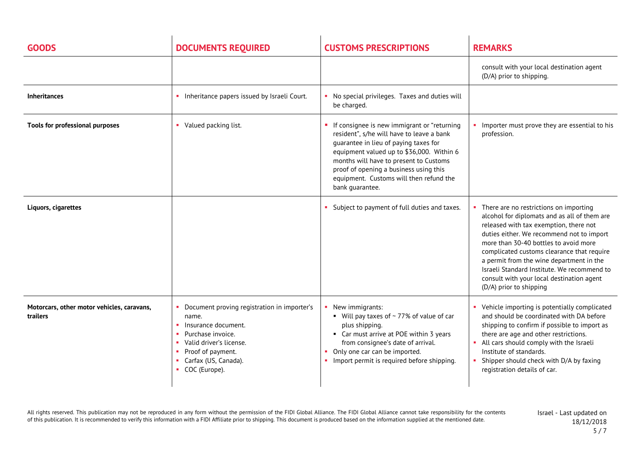| <b>GOODS</b>                                           | <b>DOCUMENTS REQUIRED</b>                                                                                                                                                                   | <b>CUSTOMS PRESCRIPTIONS</b>                                                                                                                                                                                                                                                                                                     | <b>REMARKS</b>                                                                                                                                                                                                                                                                                                                                                                                                                            |
|--------------------------------------------------------|---------------------------------------------------------------------------------------------------------------------------------------------------------------------------------------------|----------------------------------------------------------------------------------------------------------------------------------------------------------------------------------------------------------------------------------------------------------------------------------------------------------------------------------|-------------------------------------------------------------------------------------------------------------------------------------------------------------------------------------------------------------------------------------------------------------------------------------------------------------------------------------------------------------------------------------------------------------------------------------------|
|                                                        |                                                                                                                                                                                             |                                                                                                                                                                                                                                                                                                                                  | consult with your local destination agent<br>(D/A) prior to shipping.                                                                                                                                                                                                                                                                                                                                                                     |
| <b>Inheritances</b>                                    | Inheritance papers issued by Israeli Court.                                                                                                                                                 | No special privileges. Taxes and duties will<br>be charged.                                                                                                                                                                                                                                                                      |                                                                                                                                                                                                                                                                                                                                                                                                                                           |
| Tools for professional purposes                        | • Valued packing list.                                                                                                                                                                      | If consignee is new immigrant or "returning<br>resident", s/he will have to leave a bank<br>quarantee in lieu of paying taxes for<br>equipment valued up to \$36,000. Within 6<br>months will have to present to Customs<br>proof of opening a business using this<br>equipment. Customs will then refund the<br>bank guarantee. | Importer must prove they are essential to his<br>profession.                                                                                                                                                                                                                                                                                                                                                                              |
| Liquors, cigarettes                                    |                                                                                                                                                                                             | • Subject to payment of full duties and taxes.                                                                                                                                                                                                                                                                                   | • There are no restrictions on importing<br>alcohol for diplomats and as all of them are<br>released with tax exemption, there not<br>duties either. We recommend not to import<br>more than 30-40 bottles to avoid more<br>complicated customs clearance that require<br>a permit from the wine department in the<br>Israeli Standard Institute. We recommend to<br>consult with your local destination agent<br>(D/A) prior to shipping |
| Motorcars, other motor vehicles, caravans,<br>trailers | Document proving registration in importer's<br>name.<br>Insurance document.<br>Purchase invoice.<br>Valid driver's license.<br>Proof of payment.<br>Carfax (US, Canada).<br>• COC (Europe). | New immigrants:<br>■ Will pay taxes of $\sim$ 77% of value of car<br>plus shipping.<br>• Car must arrive at POE within 3 years<br>from consignee's date of arrival.<br>Only one car can be imported.<br>• Import permit is required before shipping.                                                                             | Vehicle importing is potentially complicated<br>and should be coordinated with DA before<br>shipping to confirm if possible to import as<br>there are age and other restrictions.<br>All cars should comply with the Israeli<br>Institute of standards.<br>Shipper should check with D/A by faxing<br>×<br>registration details of car.                                                                                                   |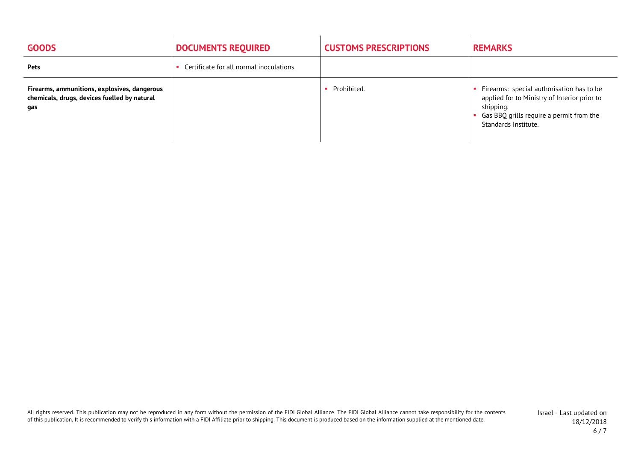| <b>GOODS</b>                                                                                        | <b>DOCUMENTS REQUIRED</b>                | <b>CUSTOMS PRESCRIPTIONS</b> | <b>REMARKS</b>                                                                                                                                                               |
|-----------------------------------------------------------------------------------------------------|------------------------------------------|------------------------------|------------------------------------------------------------------------------------------------------------------------------------------------------------------------------|
| <b>Pets</b>                                                                                         | Certificate for all normal inoculations. |                              |                                                                                                                                                                              |
| Firearms, ammunitions, explosives, dangerous<br>chemicals, drugs, devices fuelled by natural<br>gas |                                          | Prohibited.                  | Firearms: special authorisation has to be<br>applied for to Ministry of Interior prior to<br>shipping.<br>• Gas BBQ grills require a permit from the<br>Standards Institute. |